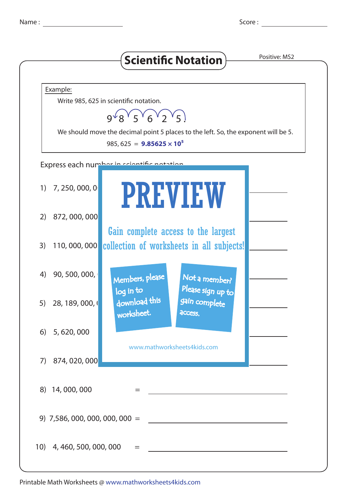